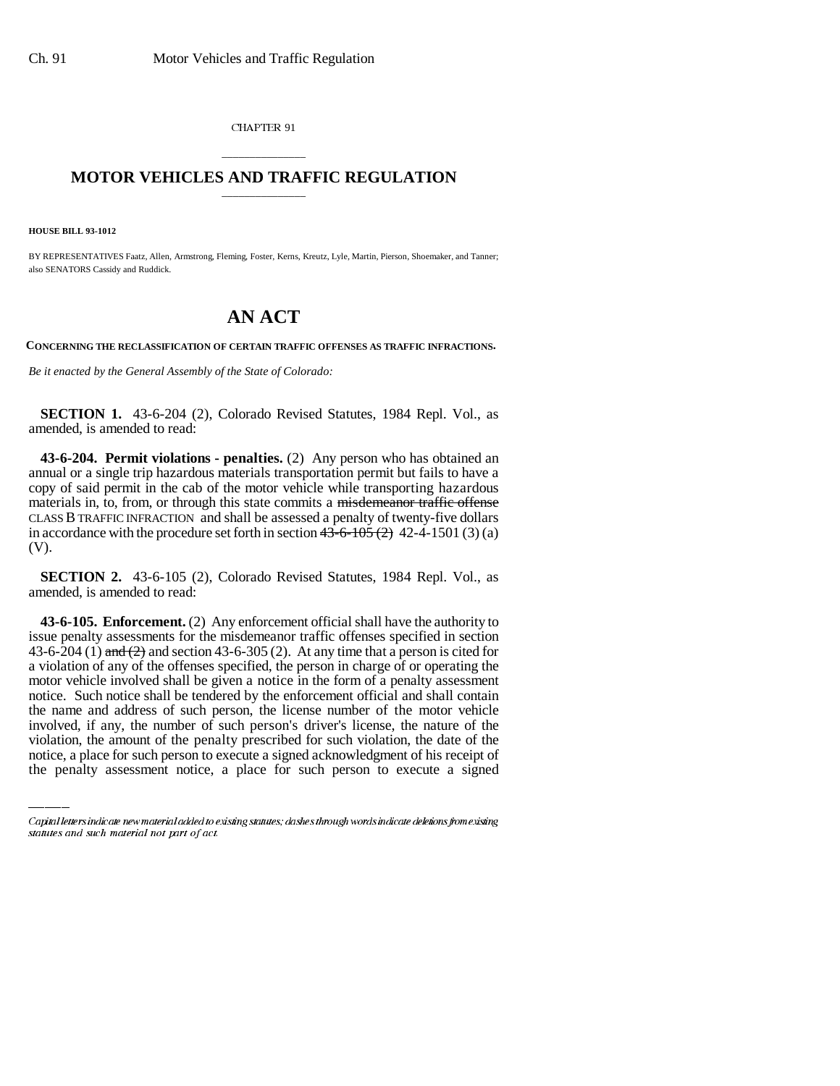CHAPTER 91

## \_\_\_\_\_\_\_\_\_\_\_\_\_\_\_ **MOTOR VEHICLES AND TRAFFIC REGULATION** \_\_\_\_\_\_\_\_\_\_\_\_\_\_\_

**HOUSE BILL 93-1012**

BY REPRESENTATIVES Faatz, Allen, Armstrong, Fleming, Foster, Kerns, Kreutz, Lyle, Martin, Pierson, Shoemaker, and Tanner; also SENATORS Cassidy and Ruddick.

## **AN ACT**

**CONCERNING THE RECLASSIFICATION OF CERTAIN TRAFFIC OFFENSES AS TRAFFIC INFRACTIONS.**

*Be it enacted by the General Assembly of the State of Colorado:*

**SECTION 1.** 43-6-204 (2), Colorado Revised Statutes, 1984 Repl. Vol., as amended, is amended to read:

**43-6-204. Permit violations - penalties.** (2) Any person who has obtained an annual or a single trip hazardous materials transportation permit but fails to have a copy of said permit in the cab of the motor vehicle while transporting hazardous materials in, to, from, or through this state commits a misdemeanor traffic offense CLASS B TRAFFIC INFRACTION and shall be assessed a penalty of twenty-five dollars in accordance with the procedure set forth in section  $43-6-105(2)$  42-4-1501 (3) (a) (V).

**SECTION 2.** 43-6-105 (2), Colorado Revised Statutes, 1984 Repl. Vol., as amended, is amended to read:

the name and address of such person, the license number of the motor vehicle **43-6-105. Enforcement.** (2) Any enforcement official shall have the authority to issue penalty assessments for the misdemeanor traffic offenses specified in section 43-6-204 (1) and (2) and section 43-6-305 (2). At any time that a person is cited for a violation of any of the offenses specified, the person in charge of or operating the motor vehicle involved shall be given a notice in the form of a penalty assessment notice. Such notice shall be tendered by the enforcement official and shall contain involved, if any, the number of such person's driver's license, the nature of the violation, the amount of the penalty prescribed for such violation, the date of the notice, a place for such person to execute a signed acknowledgment of his receipt of the penalty assessment notice, a place for such person to execute a signed

Capital letters indicate new material added to existing statutes; dashes through words indicate deletions from existing statutes and such material not part of act.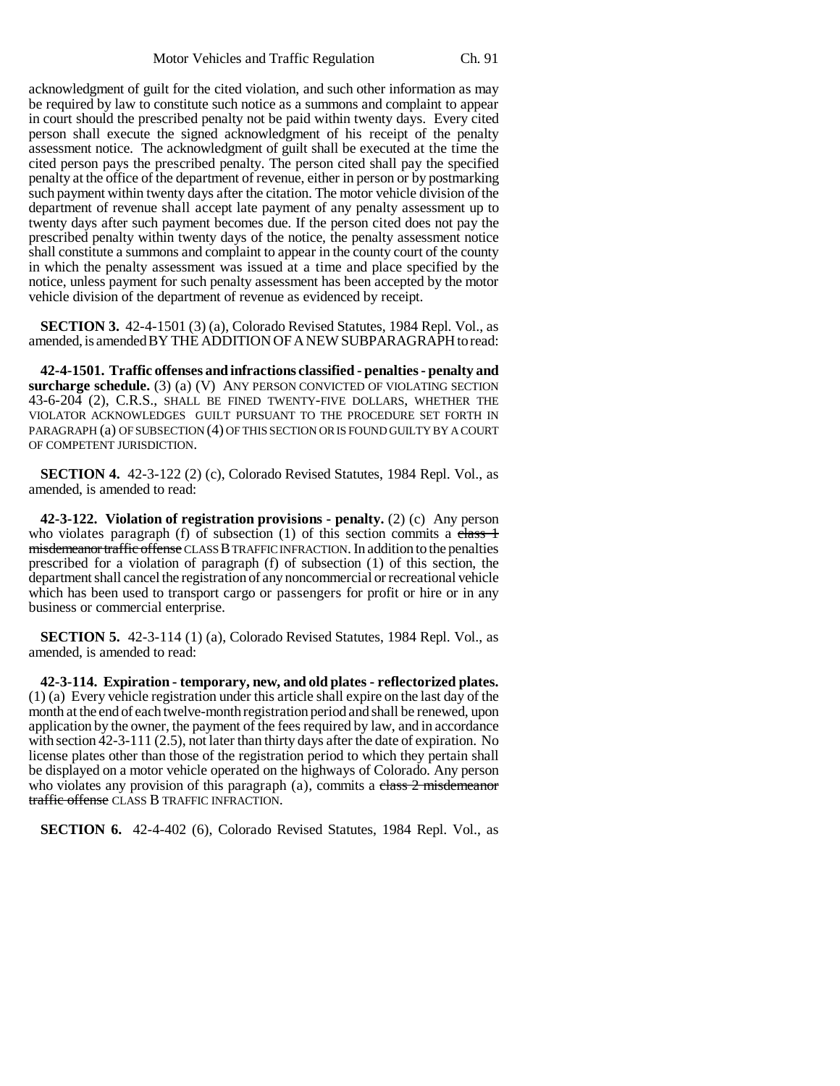acknowledgment of guilt for the cited violation, and such other information as may be required by law to constitute such notice as a summons and complaint to appear in court should the prescribed penalty not be paid within twenty days. Every cited person shall execute the signed acknowledgment of his receipt of the penalty assessment notice. The acknowledgment of guilt shall be executed at the time the cited person pays the prescribed penalty. The person cited shall pay the specified penalty at the office of the department of revenue, either in person or by postmarking such payment within twenty days after the citation. The motor vehicle division of the department of revenue shall accept late payment of any penalty assessment up to twenty days after such payment becomes due. If the person cited does not pay the prescribed penalty within twenty days of the notice, the penalty assessment notice shall constitute a summons and complaint to appear in the county court of the county in which the penalty assessment was issued at a time and place specified by the notice, unless payment for such penalty assessment has been accepted by the motor vehicle division of the department of revenue as evidenced by receipt.

**SECTION 3.** 42-4-1501 (3) (a), Colorado Revised Statutes, 1984 Repl. Vol., as amended, is amended BY THE ADDITION OF A NEW SUBPARAGRAPH to read:

**42-4-1501. Traffic offenses and infractions classified - penalties - penalty and surcharge schedule.** (3) (a) (V) ANY PERSON CONVICTED OF VIOLATING SECTION 43-6-204 (2), C.R.S., SHALL BE FINED TWENTY-FIVE DOLLARS, WHETHER THE VIOLATOR ACKNOWLEDGES GUILT PURSUANT TO THE PROCEDURE SET FORTH IN PARAGRAPH (a) OF SUBSECTION (4) OF THIS SECTION OR IS FOUND GUILTY BY A COURT OF COMPETENT JURISDICTION.

**SECTION 4.** 42-3-122 (2) (c), Colorado Revised Statutes, 1984 Repl. Vol., as amended, is amended to read:

**42-3-122. Violation of registration provisions - penalty.** (2) (c) Any person who violates paragraph (f) of subsection  $(1)$  of this section commits a class  $\frac{1}{1}$ misdemeanor traffic offense CLASS B TRAFFIC INFRACTION. In addition to the penalties prescribed for a violation of paragraph (f) of subsection (1) of this section, the department shall cancel the registration of any noncommercial or recreational vehicle which has been used to transport cargo or passengers for profit or hire or in any business or commercial enterprise.

**SECTION 5.** 42-3-114 (1) (a), Colorado Revised Statutes, 1984 Repl. Vol., as amended, is amended to read:

**42-3-114. Expiration - temporary, new, and old plates - reflectorized plates.** (1) (a) Every vehicle registration under this article shall expire on the last day of the month at the end of each twelve-month registration period and shall be renewed, upon application by the owner, the payment of the fees required by law, and in accordance with section 42-3-111 (2.5), not later than thirty days after the date of expiration. No license plates other than those of the registration period to which they pertain shall be displayed on a motor vehicle operated on the highways of Colorado. Any person who violates any provision of this paragraph  $(a)$ , commits a class  $2$  misdemeanor traffic offense CLASS B TRAFFIC INFRACTION.

**SECTION 6.** 42-4-402 (6), Colorado Revised Statutes, 1984 Repl. Vol., as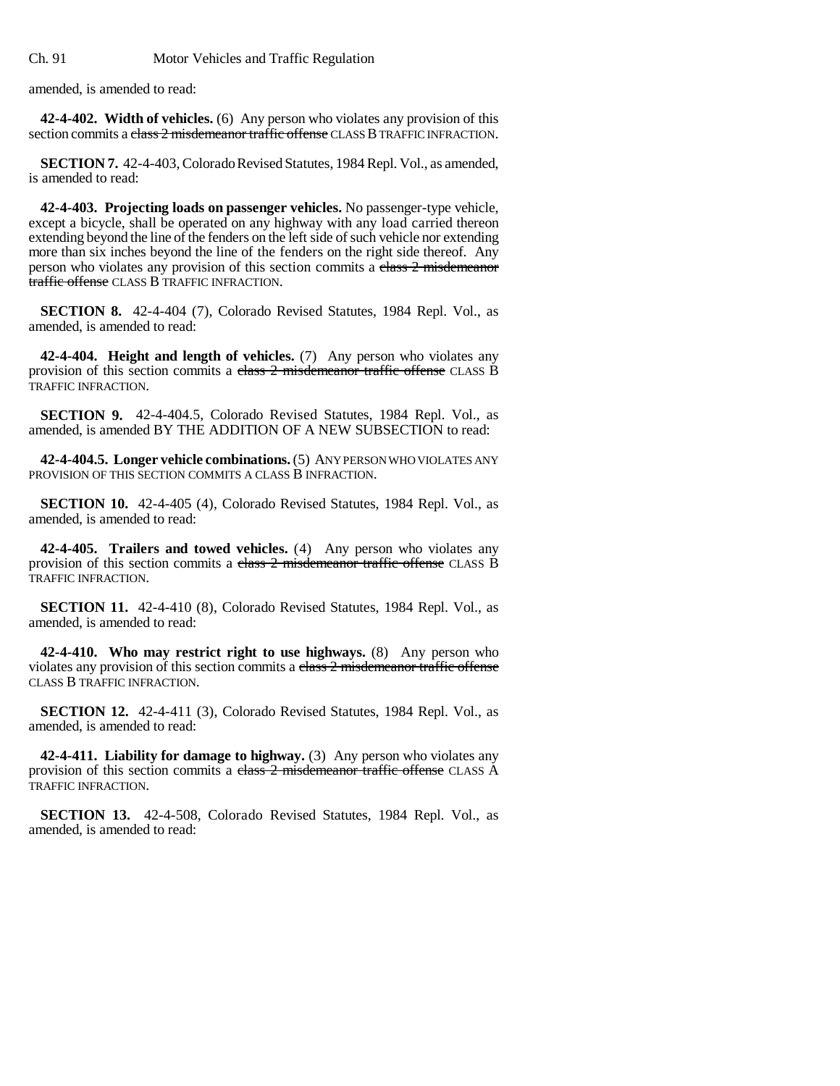Ch. 91 Motor Vehicles and Traffic Regulation

amended, is amended to read:

**42-4-402. Width of vehicles.** (6) Any person who violates any provision of this section commits a class 2 misdemeanor traffic offense CLASS B TRAFFIC INFRACTION.

**SECTION 7.** 42-4-403, Colorado Revised Statutes, 1984 Repl. Vol., as amended, is amended to read:

**42-4-403. Projecting loads on passenger vehicles.** No passenger-type vehicle, except a bicycle, shall be operated on any highway with any load carried thereon extending beyond the line of the fenders on the left side of such vehicle nor extending more than six inches beyond the line of the fenders on the right side thereof. Any person who violates any provision of this section commits a class 2 misdemeanor traffic offense CLASS B TRAFFIC INFRACTION.

**SECTION 8.** 42-4-404 (7), Colorado Revised Statutes, 1984 Repl. Vol., as amended, is amended to read:

**42-4-404. Height and length of vehicles.** (7) Any person who violates any provision of this section commits a class 2 misdemeanor traffic offense CLASS B TRAFFIC INFRACTION.

**SECTION 9.** 42-4-404.5, Colorado Revised Statutes, 1984 Repl. Vol., as amended, is amended BY THE ADDITION OF A NEW SUBSECTION to read:

**42-4-404.5. Longer vehicle combinations.** (5) ANY PERSON WHO VIOLATES ANY PROVISION OF THIS SECTION COMMITS A CLASS B INFRACTION.

**SECTION 10.** 42-4-405 (4), Colorado Revised Statutes, 1984 Repl. Vol., as amended, is amended to read:

**42-4-405. Trailers and towed vehicles.** (4) Any person who violates any provision of this section commits a class 2 misdemeanor traffic offense CLASS B TRAFFIC INFRACTION.

**SECTION 11.** 42-4-410 (8), Colorado Revised Statutes, 1984 Repl. Vol., as amended, is amended to read:

**42-4-410. Who may restrict right to use highways.** (8) Any person who violates any provision of this section commits a class 2 misdemeanor traffic offense CLASS B TRAFFIC INFRACTION.

**SECTION 12.** 42-4-411 (3), Colorado Revised Statutes, 1984 Repl. Vol., as amended, is amended to read:

**42-4-411. Liability for damage to highway.** (3) Any person who violates any provision of this section commits a class 2 misdemeanor traffic offense CLASS A TRAFFIC INFRACTION.

**SECTION 13.** 42-4-508, Colorado Revised Statutes, 1984 Repl. Vol., as amended, is amended to read: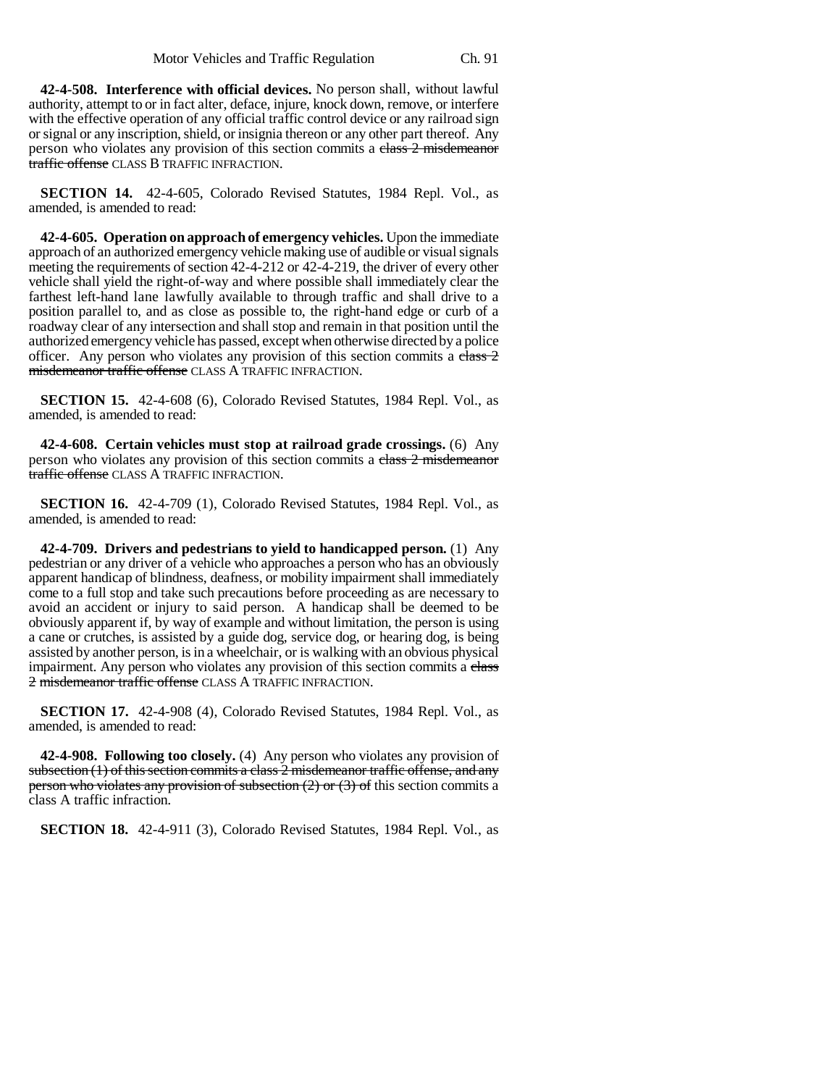**42-4-508. Interference with official devices.** No person shall, without lawful authority, attempt to or in fact alter, deface, injure, knock down, remove, or interfere with the effective operation of any official traffic control device or any railroad sign or signal or any inscription, shield, or insignia thereon or any other part thereof. Any person who violates any provision of this section commits a class 2 misdemeanor traffic offense CLASS B TRAFFIC INFRACTION.

**SECTION 14.** 42-4-605, Colorado Revised Statutes, 1984 Repl. Vol., as amended, is amended to read:

**42-4-605. Operation on approach of emergency vehicles.** Upon the immediate approach of an authorized emergency vehicle making use of audible or visual signals meeting the requirements of section 42-4-212 or 42-4-219, the driver of every other vehicle shall yield the right-of-way and where possible shall immediately clear the farthest left-hand lane lawfully available to through traffic and shall drive to a position parallel to, and as close as possible to, the right-hand edge or curb of a roadway clear of any intersection and shall stop and remain in that position until the authorized emergency vehicle has passed, except when otherwise directed by a police officer. Any person who violates any provision of this section commits a  $e\overline{\text{lass 2}}$ misdemeanor traffic offense CLASS A TRAFFIC INFRACTION.

**SECTION 15.** 42-4-608 (6), Colorado Revised Statutes, 1984 Repl. Vol., as amended, is amended to read:

**42-4-608. Certain vehicles must stop at railroad grade crossings.** (6) Any person who violates any provision of this section commits a class 2 misdemeanor traffic offense CLASS A TRAFFIC INFRACTION.

**SECTION 16.** 42-4-709 (1), Colorado Revised Statutes, 1984 Repl. Vol., as amended, is amended to read:

**42-4-709. Drivers and pedestrians to yield to handicapped person.** (1) Any pedestrian or any driver of a vehicle who approaches a person who has an obviously apparent handicap of blindness, deafness, or mobility impairment shall immediately come to a full stop and take such precautions before proceeding as are necessary to avoid an accident or injury to said person. A handicap shall be deemed to be obviously apparent if, by way of example and without limitation, the person is using a cane or crutches, is assisted by a guide dog, service dog, or hearing dog, is being assisted by another person, is in a wheelchair, or is walking with an obvious physical impairment. Any person who violates any provision of this section commits a class 2 misdemeanor traffic offense CLASS A TRAFFIC INFRACTION.

**SECTION 17.** 42-4-908 (4), Colorado Revised Statutes, 1984 Repl. Vol., as amended, is amended to read:

**42-4-908. Following too closely.** (4) Any person who violates any provision of subsection (1) of this section commits a class 2 misdemeanor traffic offense, and any person who violates any provision of subsection  $(2)$  or  $(3)$  of this section commits a class A traffic infraction.

**SECTION 18.** 42-4-911 (3), Colorado Revised Statutes, 1984 Repl. Vol., as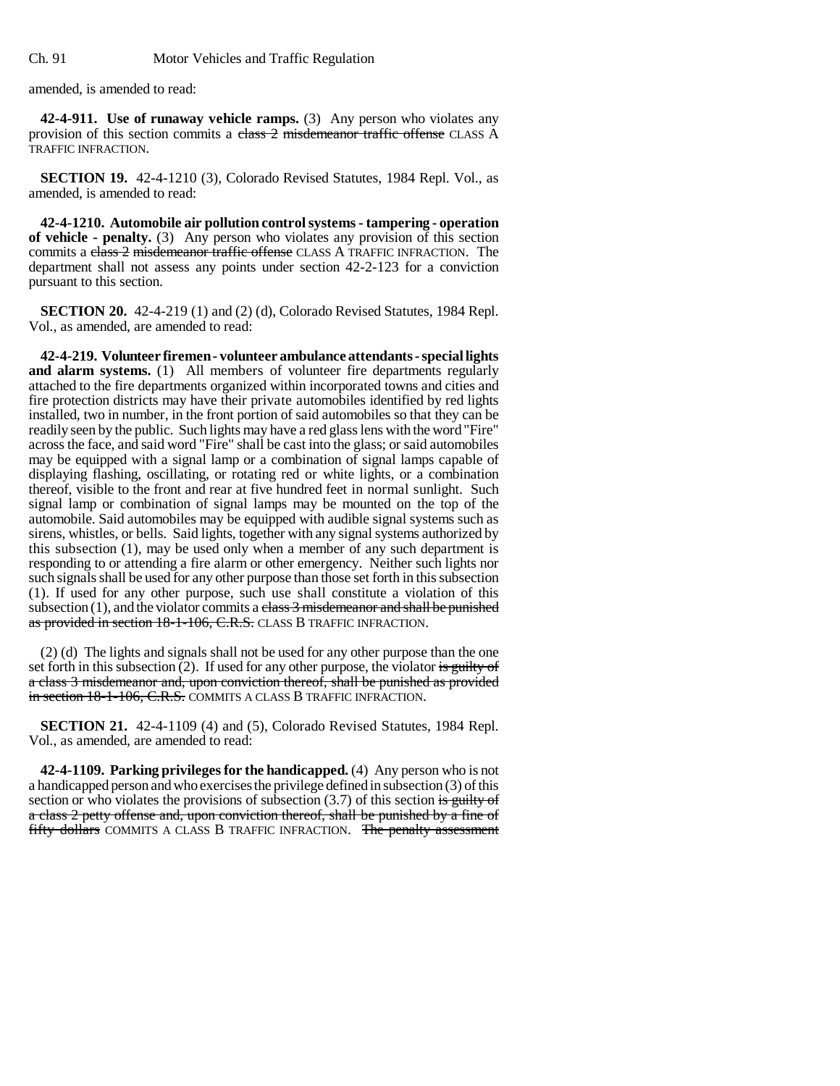amended, is amended to read:

**42-4-911. Use of runaway vehicle ramps.** (3) Any person who violates any provision of this section commits a class 2 misdemeanor traffic offense CLASS A TRAFFIC INFRACTION.

**SECTION 19.** 42-4-1210 (3), Colorado Revised Statutes, 1984 Repl. Vol., as amended, is amended to read:

**42-4-1210. Automobile air pollution control systems - tampering - operation of vehicle - penalty.** (3) Any person who violates any provision of this section commits a class 2 misdemeanor traffic offense CLASS A TRAFFIC INFRACTION. The department shall not assess any points under section 42-2-123 for a conviction pursuant to this section.

**SECTION 20.** 42-4-219 (1) and (2) (d), Colorado Revised Statutes, 1984 Repl. Vol., as amended, are amended to read:

**42-4-219. Volunteer firemen - volunteer ambulance attendants - special lights and alarm systems.** (1) All members of volunteer fire departments regularly attached to the fire departments organized within incorporated towns and cities and fire protection districts may have their private automobiles identified by red lights installed, two in number, in the front portion of said automobiles so that they can be readily seen by the public. Such lights may have a red glass lens with the word "Fire" across the face, and said word "Fire" shall be cast into the glass; or said automobiles may be equipped with a signal lamp or a combination of signal lamps capable of displaying flashing, oscillating, or rotating red or white lights, or a combination thereof, visible to the front and rear at five hundred feet in normal sunlight. Such signal lamp or combination of signal lamps may be mounted on the top of the automobile. Said automobiles may be equipped with audible signal systems such as sirens, whistles, or bells. Said lights, together with any signal systems authorized by this subsection (1), may be used only when a member of any such department is responding to or attending a fire alarm or other emergency. Neither such lights nor such signals shall be used for any other purpose than those set forth in this subsection (1). If used for any other purpose, such use shall constitute a violation of this subsection  $(1)$ , and the violator commits a class 3 misdemeanor and shall be punished as provided in section 18-1-106, C.R.S. CLASS B TRAFFIC INFRACTION.

(2) (d) The lights and signals shall not be used for any other purpose than the one set forth in this subsection  $(2)$ . If used for any other purpose, the violator is guilty of a class 3 misdemeanor and, upon conviction thereof, shall be punished as provided in section 18-1-106, C.R.S. COMMITS A CLASS B TRAFFIC INFRACTION.

**SECTION 21.** 42-4-1109 (4) and (5), Colorado Revised Statutes, 1984 Repl. Vol., as amended, are amended to read:

**42-4-1109. Parking privileges for the handicapped.** (4) Any person who is not a handicapped person and who exercises the privilege defined in subsection (3) of this section or who violates the provisions of subsection  $(3.7)$  of this section is guilty of a class 2 petty offense and, upon conviction thereof, shall be punished by a fine of fifty dollars COMMITS A CLASS B TRAFFIC INFRACTION. The penalty assessment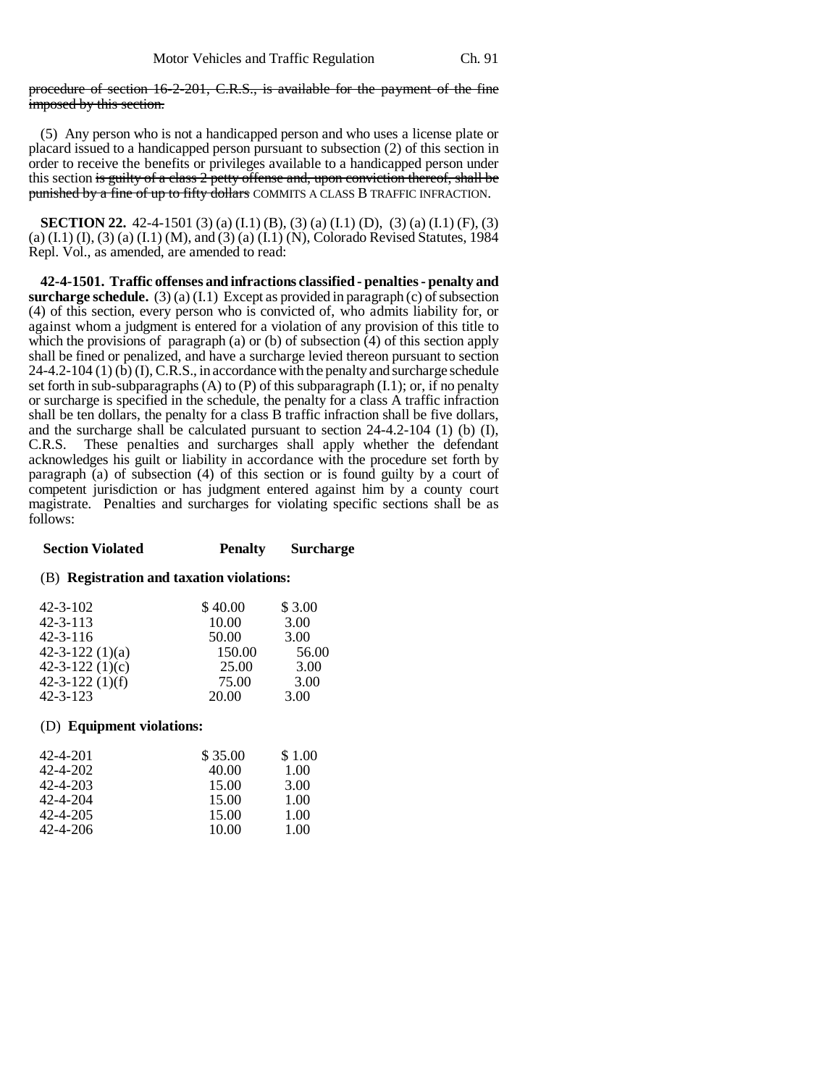procedure of section 16-2-201, C.R.S., is available for the payment of the fine imposed by this section.

(5) Any person who is not a handicapped person and who uses a license plate or placard issued to a handicapped person pursuant to subsection (2) of this section in order to receive the benefits or privileges available to a handicapped person under this section is guilty of a class 2 petty offense and, upon conviction thereof, shall be punished by a fine of up to fifty dollars COMMITS A CLASS B TRAFFIC INFRACTION.

**SECTION 22.** 42-4-1501 (3) (a) (I.1) (B), (3) (a) (I.1) (D), (3) (a) (I.1) (F), (3) (a) (I.1) (I), (3) (a) (I.1) (M), and (3) (a) (I.1) (N), Colorado Revised Statutes, 1984 Repl. Vol., as amended, are amended to read:

**42-4-1501. Traffic offenses and infractions classified - penalties - penalty and surcharge schedule.** (3) (a) (I.1) Except as provided in paragraph (c) of subsection (4) of this section, every person who is convicted of, who admits liability for, or against whom a judgment is entered for a violation of any provision of this title to which the provisions of paragraph (a) or (b) of subsection (4) of this section apply shall be fined or penalized, and have a surcharge levied thereon pursuant to section  $24-4.2-104$  (1) (b) (I), C.R.S., in accordance with the penalty and surcharge schedule set forth in sub-subparagraphs  $(A)$  to  $(P)$  of this subparagraph  $(I,1)$ ; or, if no penalty or surcharge is specified in the schedule, the penalty for a class A traffic infraction shall be ten dollars, the penalty for a class B traffic infraction shall be five dollars, and the surcharge shall be calculated pursuant to section  $24-4.2-104$  (1) (b) (I), C.R.S. These penalties and surcharges shall apply whether the defendant acknowledges his guilt or liability in accordance with the procedure set forth by paragraph (a) of subsection (4) of this section or is found guilty by a court of competent jurisdiction or has judgment entered against him by a county court magistrate. Penalties and surcharges for violating specific sections shall be as follows:

### **Section Violated Penalty Surcharge**

#### (B) **Registration and taxation violations:**

| $42 - 3 - 102$        | \$40.00 | \$3.00 |
|-----------------------|---------|--------|
| $42 - 3 - 113$        | 10.00   | 3.00   |
| $42 - 3 - 116$        | 50.00   | 3.00   |
| $42 - 3 - 122(1)(a)$  | 150.00  | 56.00  |
| 42-3-122 $(1)(c)$     | 25.00   | 3.00   |
| $42 - 3 - 122$ (1)(f) | 75.00   | 3.00   |
| $42 - 3 - 123$        | 20.00   | 3.00   |

#### (D) **Equipment violations:**

| 42-4-201       | \$35.00 | \$1.00 |
|----------------|---------|--------|
| $42 - 4 - 202$ | 40.00   | 1.00   |
| $42 - 4 - 203$ | 15.00   | 3.00   |
| $42 - 4 - 204$ | 15.00   | 1.00   |
| 42-4-205       | 15.00   | 1.00   |
| 42-4-206       | 10.00   | 1.00   |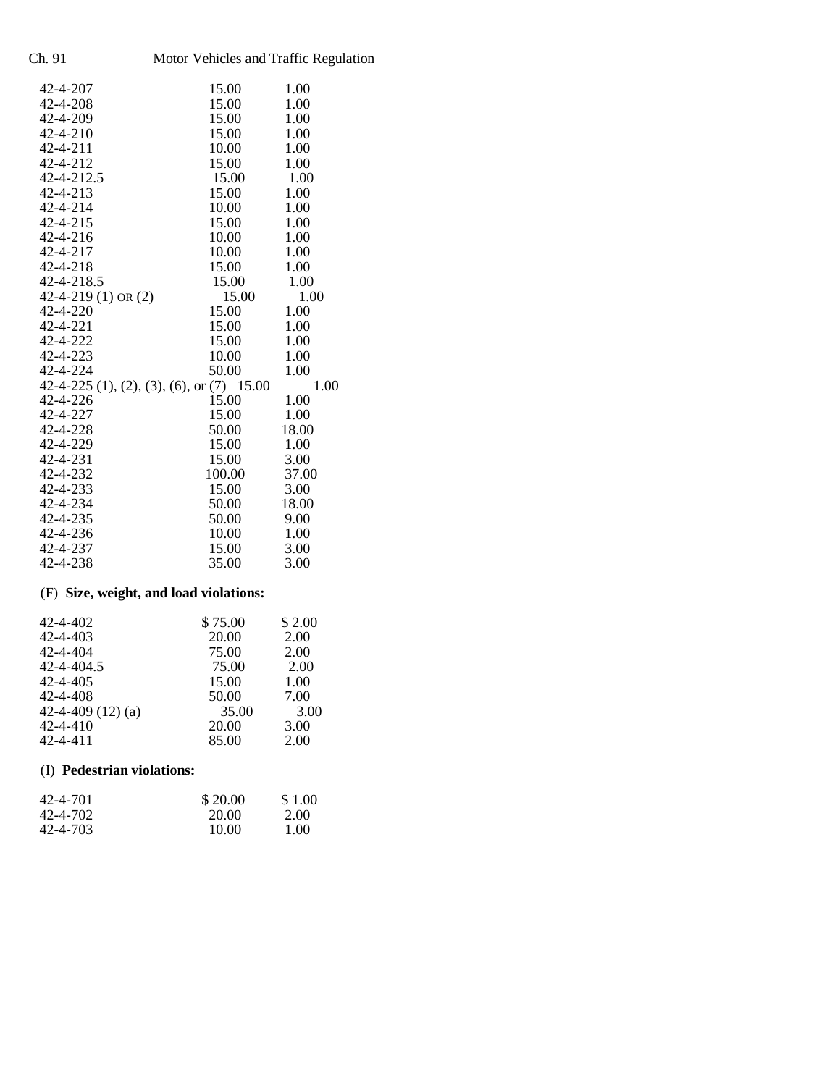| Motor Vehicles and Traffic Regulation  |                                                                                                                          |  |
|----------------------------------------|--------------------------------------------------------------------------------------------------------------------------|--|
| 15.00                                  | 1.00                                                                                                                     |  |
| 15.00                                  | 1.00                                                                                                                     |  |
|                                        | 1.00                                                                                                                     |  |
| 15.00                                  | 1.00                                                                                                                     |  |
| 10.00                                  | 1.00                                                                                                                     |  |
| 15.00                                  | 1.00                                                                                                                     |  |
| 15.00                                  | 1.00                                                                                                                     |  |
| 15.00                                  | 1.00                                                                                                                     |  |
| 10.00                                  | 1.00                                                                                                                     |  |
| 15.00                                  | 1.00                                                                                                                     |  |
| 10.00                                  | 1.00                                                                                                                     |  |
| 10.00                                  | 1.00                                                                                                                     |  |
| 15.00                                  | 1.00                                                                                                                     |  |
| 15.00                                  | 1.00                                                                                                                     |  |
| 15.00                                  | 1.00                                                                                                                     |  |
| 15.00                                  | 1.00                                                                                                                     |  |
| 15.00                                  | 1.00                                                                                                                     |  |
| 15.00                                  | 1.00                                                                                                                     |  |
| 10.00                                  | 1.00                                                                                                                     |  |
| 50.00                                  | 1.00                                                                                                                     |  |
|                                        | 1.00                                                                                                                     |  |
| 15.00                                  | 1.00                                                                                                                     |  |
| 15.00                                  | 1.00                                                                                                                     |  |
|                                        | 18.00                                                                                                                    |  |
| 15.00                                  | 1.00                                                                                                                     |  |
| 15.00                                  | 3.00                                                                                                                     |  |
| 100.00                                 | 37.00                                                                                                                    |  |
| 15.00                                  | 3.00                                                                                                                     |  |
| 50.00                                  | 18.00                                                                                                                    |  |
|                                        | 9.00                                                                                                                     |  |
|                                        | 1.00                                                                                                                     |  |
|                                        | 3.00                                                                                                                     |  |
|                                        | 3.00                                                                                                                     |  |
| (F) Size, weight, and load violations: |                                                                                                                          |  |
|                                        | 15.00<br>42-4-219 (1) OR $(2)$<br>42-4-225 (1), (2), (3), (6), or (7) 15.00<br>50.00<br>50.00<br>10.00<br>15.00<br>35.00 |  |

| 42-4-402            | \$75.00 | \$2.00 |
|---------------------|---------|--------|
| 42-4-403            | 20.00   | 2.00   |
| 42-4-404            | 75.00   | 2.00   |
| 42-4-404.5          | 75.00   | 2.00   |
| $42 - 4 - 405$      | 15.00   | 1.00   |
| 42-4-408            | 50.00   | 7.00   |
| 42-4-409 $(12)$ (a) | 35.00   | 3.00   |
| 42-4-410            | 20.00   | 3.00   |
| 42-4-411            | 85.00   | 2.00   |

# (I) **Pedestrian violations:**

| 42-4-701 | \$20.00 | \$1.00 |
|----------|---------|--------|
| 42-4-702 | 20.00   | 2.00   |
| 42-4-703 | 10.00   | 1.00   |